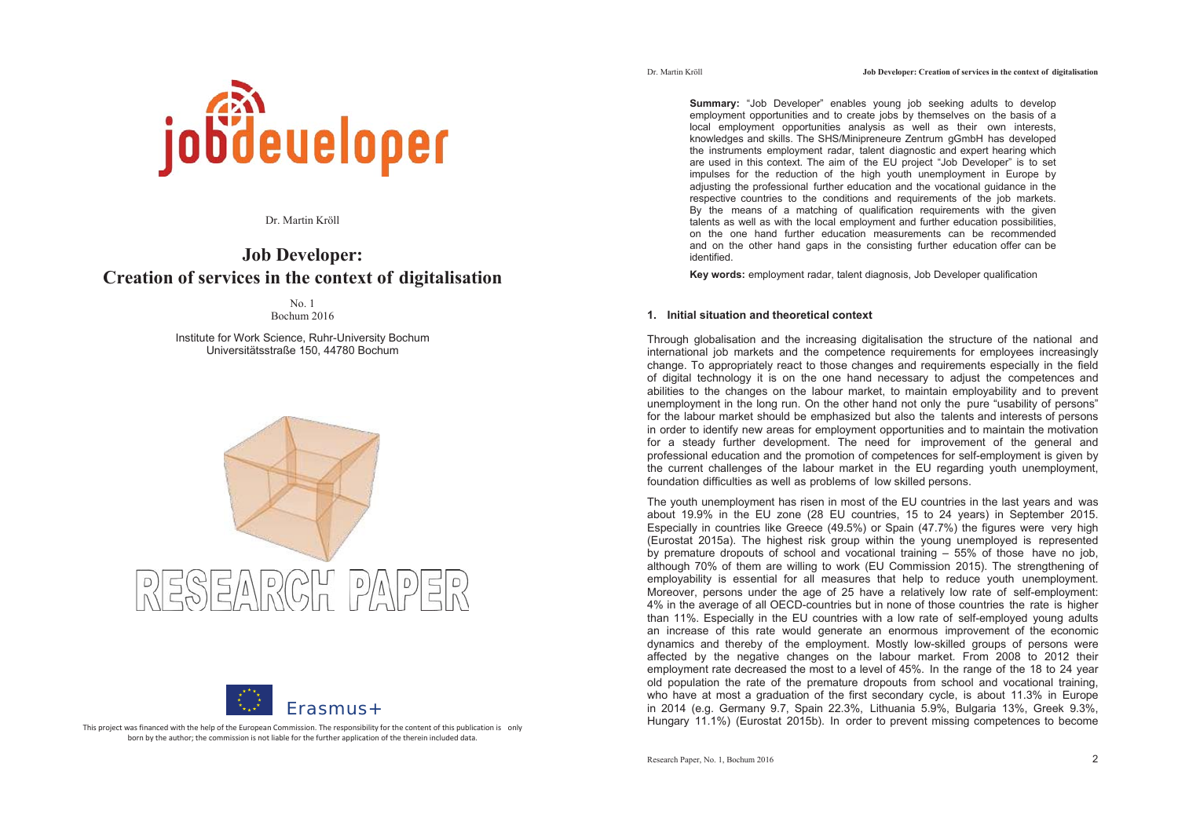

Dr. Martin Kröll

# **Job Developer: Creation of services in the context of digitalisation**

No. 1 Bochum 2016

Institute for Work Science, Ruhr-University Bochum Universitätsstraße 150, 44780 Bochum





This project was financed with the help of the European Commission. The responsibility for the content of this publication is only born by the author; the commission is not liable for the further application of the therein included data.

**Summary:** "Job Developer" enables young job seeking adults to develop employment opportunities and to create jobs by themselves on the basis of a local employment opportunities analysis as well as their own interests, knowledges and skills. The SHS/Minipreneure Zentrum gGmbH has developed the instruments employment radar, talent diagnostic and expert hearing which are used in this context. The aim of the EU project "Job Developer" is to set impulses for the reduction of the high youth unemployment in Europe by adjusting the professional further education and the vocational guidance in the respective countries to the conditions and requirements of the job markets. By the means of a matching of qualification requirements with the given talents as well as with the local employment and further education possibilities, on the one hand further education measurements can be recommended and on the other hand gaps in the consisting further education offer can be identified.

**Key words:** employment radar, talent diagnosis, Job Developer qualification

# **1. Initial situation and theoretical context**

Through globalisation and the increasing digitalisation the structure of the national and international job markets and the competence requirements for employees increasingly change. To appropriately react to those changes and requirements especially in the field of digital technology it is on the one hand necessary to adjust the competences and abilities to the changes on the labour market, to maintain employability and to prevent unemployment in the long run. On the other hand not only the pure "usability of persons" for the labour market should be emphasized but also the talents and interests of persons in order to identify new areas for employment opportunities and to maintain the motivation for a steady further development. The need for improvement of the general and professional education and the promotion of competences for self-employment is given by the current challenges of the labour market in the EU regarding youth unemployment, foundation difficulties as well as problems of low skilled persons.

The youth unemployment has risen in most of the EU countries in the last years and was about 19.9% in the EU zone (28 EU countries, 15 to 24 years) in September 2015. Especially in countries like Greece (49.5%) or Spain (47.7%) the figures were very high (Eurostat 2015a). The highest risk group within the young unemployed is represented by premature dropouts of school and vocational training – 55% of those have no job, although 70% of them are willing to work (EU Commission 2015). The strengthening of employability is essential for all measures that help to reduce youth unemployment. Moreover, persons under the age of 25 have a relatively low rate of self-employment: 4% in the average of all OECD-countries but in none of those countries the rate is higher than 11%. Especially in the EU countries with a low rate of self-employed young adults an increase of this rate would generate an enormous improvement of the economic dynamics and thereby of the employment. Mostly low-skilled groups of persons were affected by the negative changes on the labour market. From 2008 to 2012 their employment rate decreased the most to a level of 45%. In the range of the 18 to 24 year old population the rate of the premature dropouts from school and vocational training, who have at most a graduation of the first secondary cycle, is about 11.3% in Europe in 2014 (e.g. Germany 9.7, Spain 22.3%, Lithuania 5.9%, Bulgaria 13%, Greek 9.3%, Hungary 11.1%) (Eurostat 2015b). In order to prevent missing competences to become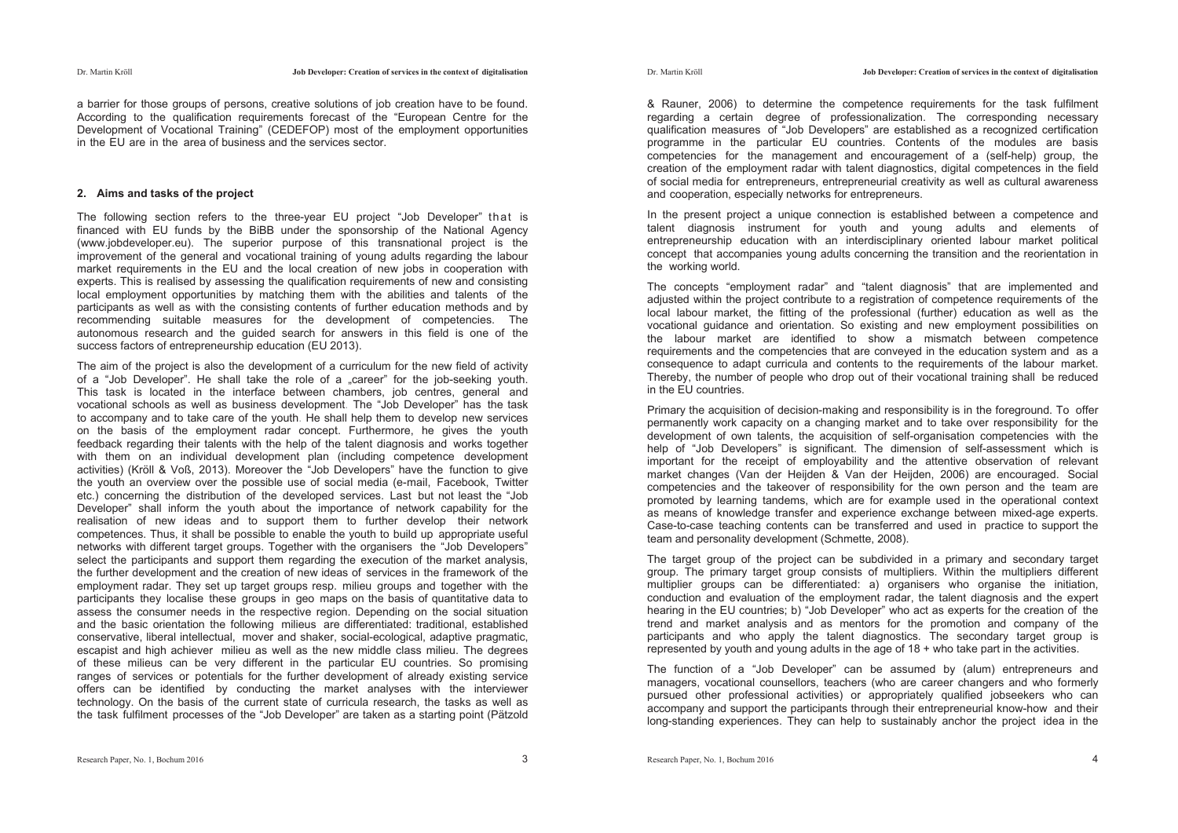a barrier for those groups of persons, creative solutions of job creation have to be found. According to the qualification requirements forecast of the "European Centre for the Development of Vocational Training" (CEDEFOP) most of the employment opportunities in the EU are in the area of business and the services sector.

### **2. Aims and tasks of the project**

The following section refers to the three-year EU project "Job Developer" that is financed with EU funds by the BiBB under the sponsorship of the National Agency (www.jobdeveloper.eu). The superior purpose of this transnational project is the improvement of the general and vocational training of young adults regarding the labour market requirements in the EU and the local creation of new jobs in cooperation with experts. This is realised by assessing the qualification requirements of new and consisting local employment opportunities by matching them with the abilities and talents of the participants as well as with the consisting contents of further education methods and by recommending suitable measures for the development of competencies. The autonomous research and the guided search for answers in this field is one of the success factors of entrepreneurship education (EU 2013).

The aim of the project is also the development of a curriculum for the new field of activity of a "Job Developer". He shall take the role of a "career" for the job-seeking youth. This task is located in the interface between chambers, job centres, general and vocational schools as well as business development. The "Job Developer" has the task to accompany and to take care of the youth. He shall help them to develop new services on the basis of the employment radar concept. Furthermore, he gives the youth feedback regarding their talents with the help of the talent diagnosis and works together with them on an individual development plan (including competence development activities) (Kröll & Voß, 2013). Moreover the "Job Developers" have the function to give the youth an overview over the possible use of social media (e-mail, Facebook, Twitter etc.) concerning the distribution of the developed services. Last but not least the "Job Developer" shall inform the youth about the importance of network capability for the realisation of new ideas and to support them to further develop their network competences. Thus, it shall be possible to enable the youth to build up appropriate useful networks with different target groups. Together with the organisers the "Job Developers" select the participants and support them regarding the execution of the market analysis, the further development and the creation of new ideas of services in the framework of the employment radar. They set up target groups resp. milieu groups and together with the participants they localise these groups in geo maps on the basis of quantitative data to assess the consumer needs in the respective region. Depending on the social situation and the basic orientation the following milieus are differentiated: traditional, established conservative, liberal intellectual, mover and shaker, social-ecological, adaptive pragmatic, escapist and high achiever milieu as well as the new middle class milieu. The degrees of these milieus can be very different in the particular EU countries. So promising ranges of services or potentials for the further development of already existing service offers can be identified by conducting the market analyses with the interviewer technology. On the basis of the current state of curricula research, the tasks as well as the task fulfilment processes of the "Job Developer" are taken as a starting point (Pätzold

& Rauner, 2006) to determine the competence requirements for the task fulfilment regarding a certain degree of professionalization. The corresponding necessary qualification measures of "Job Developers" are established as a recognized certification programme in the particular EU countries. Contents of the modules are basis competencies for the management and encouragement of a (self-help) group, the creation of the employment radar with talent diagnostics, digital competences in the field of social media for entrepreneurs, entrepreneurial creativity as well as cultural awareness and cooperation, especially networks for entrepreneurs.

In the present project a unique connection is established between a competence and talent diagnosis instrument for youth and young adults and elements of entrepreneurship education with an interdisciplinary oriented labour market political concept that accompanies young adults concerning the transition and the reorientation in the working world.

The concepts "employment radar" and "talent diagnosis" that are implemented and adjusted within the project contribute to a registration of competence requirements of the local labour market, the fitting of the professional (further) education as well as the vocational guidance and orientation. So existing and new employment possibilities on the labour market are identified to show a mismatch between competence requirements and the competencies that are conveyed in the education system and as a consequence to adapt curricula and contents to the requirements of the labour market. Thereby, the number of people who drop out of their vocational training shall be reduced in the EU countries.

Primary the acquisition of decision-making and responsibility is in the foreground. To offer permanently work capacity on a changing market and to take over responsibility for the development of own talents, the acquisition of self-organisation competencies with the help of "Job Developers" is significant. The dimension of self-assessment which is important for the receipt of employability and the attentive observation of relevant market changes (Van der Heijden & Van der Heijden, 2006) are encouraged. Social competencies and the takeover of responsibility for the own person and the team are promoted by learning tandems, which are for example used in the operational context as means of knowledge transfer and experience exchange between mixed-age experts. Case-to-case teaching contents can be transferred and used in practice to support the team and personality development (Schmette, 2008).

The target group of the project can be subdivided in a primary and secondary target group. The primary target group consists of multipliers. Within the multipliers different multiplier groups can be differentiated: a) organisers who organise the initiation, conduction and evaluation of the employment radar, the talent diagnosis and the expert hearing in the EU countries; b) "Job Developer" who act as experts for the creation of the trend and market analysis and as mentors for the promotion and company of the participants and who apply the talent diagnostics. The secondary target group is represented by youth and young adults in the age of  $18 +$  who take part in the activities.

The function of a "Job Developer" can be assumed by (alum) entrepreneurs and managers, vocational counsellors, teachers (who are career changers and who formerly pursued other professional activities) or appropriately qualified jobseekers who can accompany and support the participants through their entrepreneurial know-how and their long-standing experiences. They can help to sustainably anchor the project idea in the

Dr. Martin Kröll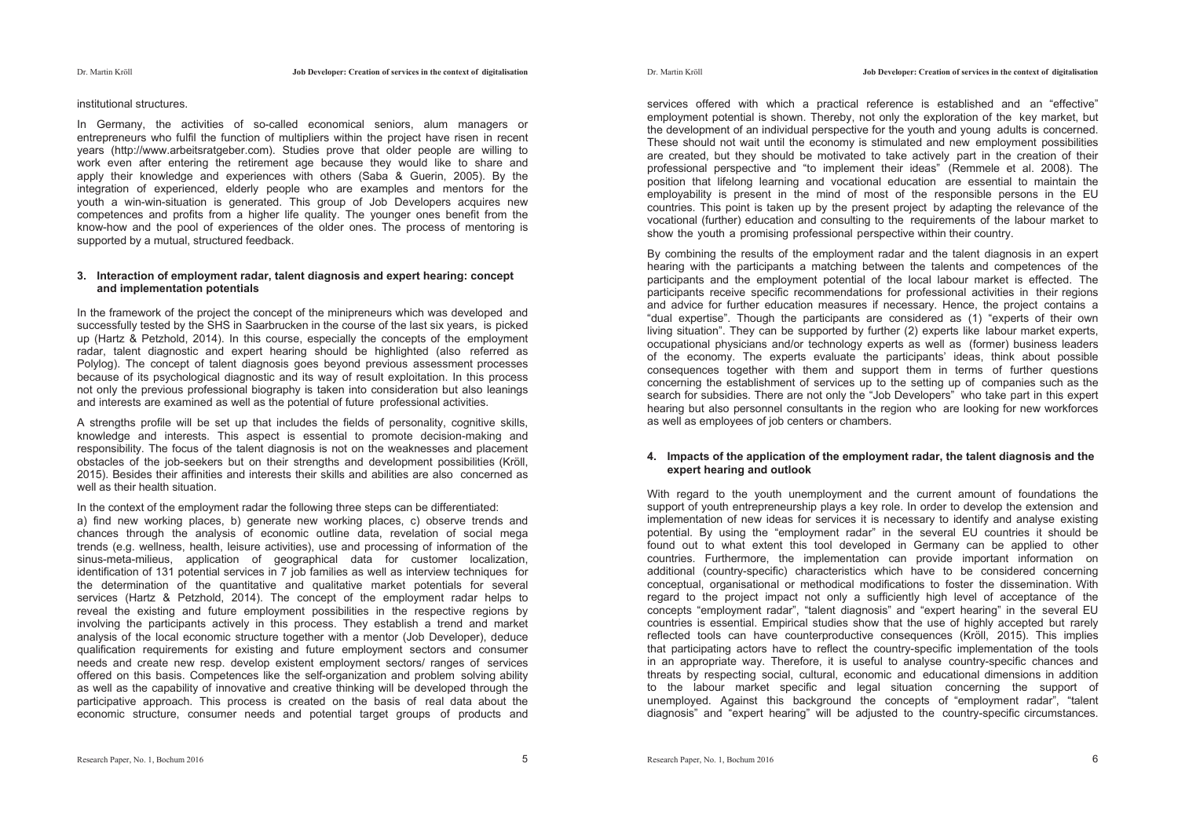Dr. Martin Kröll

#### institutional structures.

In Germany, the activities of so-called economical seniors, alum managers or entrepreneurs who fulfil the function of multipliers within the project have risen in recent years (http://www.arbeitsratgeber.com). Studies prove that older people are willing to work even after entering the retirement age because they would like to share and apply their knowledge and experiences with others (Saba & Guerin, 2005). By the integration of experienced, elderly people who are examples and mentors for the youth a win-win-situation is generated. This group of Job Developers acquires new competences and profits from a higher life quality. The younger ones benefit from the know-how and the pool of experiences of the older ones. The process of mentoring is supported by a mutual, structured feedback.

#### **3. Interaction of employment radar, talent diagnosis and expert hearing: concept and implementation potentials**

In the framework of the project the concept of the minipreneurs which was developed and successfully tested by the SHS in Saarbrucken in the course of the last six years, is picked up (Hartz & Petzhold, 2014). In this course, especially the concepts of the employment radar, talent diagnostic and expert hearing should be highlighted (also referred as Polylog). The concept of talent diagnosis goes beyond previous assessment processes because of its psychological diagnostic and its way of result exploitation. In this process not only the previous professional biography is taken into consideration but also leanings and interests are examined as well as the potential of future professional activities.

A strengths profile will be set up that includes the fields of personality, cognitive skills, knowledge and interests. This aspect is essential to promote decision-making and responsibility. The focus of the talent diagnosis is not on the weaknesses and placement obstacles of the job-seekers but on their strengths and development possibilities (Kröll, 2015). Besides their affinities and interests their skills and abilities are also concerned as well as their health situation.

In the context of the employment radar the following three steps can be differentiated: a) find new working places, b) generate new working places, c) observe trends and chances through the analysis of economic outline data, revelation of social mega trends (e.g. wellness, health, leisure activities), use and processing of information of the sinus-meta-milieus, application of geographical data for customer localization, identification of 131 potential services in 7 job families as well as interview techniques for the determination of the quantitative and qualitative market potentials for several services (Hartz & Petzhold, 2014). The concept of the employment radar helps to reveal the existing and future employment possibilities in the respective regions by involving the participants actively in this process. They establish a trend and market analysis of the local economic structure together with a mentor (Job Developer), deduce qualification requirements for existing and future employment sectors and consumer needs and create new resp. develop existent employment sectors/ ranges of services offered on this basis. Competences like the self-organization and problem solving ability as well as the capability of innovative and creative thinking will be developed through the participative approach. This process is created on the basis of real data about the economic structure, consumer needs and potential target groups of products and

services offered with which a practical reference is established and an "effective" employment potential is shown. Thereby, not only the exploration of the key market, but the development of an individual perspective for the youth and young adults is concerned. These should not wait until the economy is stimulated and new employment possibilities are created, but they should be motivated to take actively part in the creation of their professional perspective and "to implement their ideas" (Remmele et al. 2008). The position that lifelong learning and vocational education are essential to maintain the employability is present in the mind of most of the responsible persons in the EU countries. This point is taken up by the present project by adapting the relevance of the vocational (further) education and consulting to the requirements of the labour market to show the youth a promising professional perspective within their country.

By combining the results of the employment radar and the talent diagnosis in an expert hearing with the participants a matching between the talents and competences of the participants and the employment potential of the local labour market is effected. The participants receive specific recommendations for professional activities in their regions and advice for further education measures if necessary. Hence, the project contains a "dual expertise". Though the participants are considered as (1) "experts of their own living situation". They can be supported by further (2) experts like labour market experts, occupational physicians and/or technology experts as well as (former) business leaders of the economy. The experts evaluate the participants' ideas, think about possible consequences together with them and support them in terms of further questions concerning the establishment of services up to the setting up of companies such as the search for subsidies. There are not only the "Job Developers" who take part in this expert hearing but also personnel consultants in the region who are looking for new workforces as well as employees of job centers or chambers.

#### **4. Impacts of the application of the employment radar, the talent diagnosis and the expert hearing and outlook**

With regard to the youth unemployment and the current amount of foundations the support of youth entrepreneurship plays a key role. In order to develop the extension and implementation of new ideas for services it is necessary to identify and analyse existing potential. By using the "employment radar" in the several EU countries it should be found out to what extent this tool developed in Germany can be applied to other countries. Furthermore, the implementation can provide important information on additional (country-specific) characteristics which have to be considered concerning conceptual, organisational or methodical modifications to foster the dissemination. With regard to the project impact not only a sufficiently high level of acceptance of the concepts "employment radar", "talent diagnosis" and "expert hearing" in the several EU countries is essential. Empirical studies show that the use of highly accepted but rarely reflected tools can have counterproductive consequences (Kröll, 2015). This implies that participating actors have to reflect the country-specific implementation of the tools in an appropriate way. Therefore, it is useful to analyse country-specific chances and threats by respecting social, cultural, economic and educational dimensions in addition to the labour market specific and legal situation concerning the support of unemployed. Against this background the concepts of "employment radar", "talent diagnosis" and "expert hearing" will be adjusted to the country-specific circumstances.